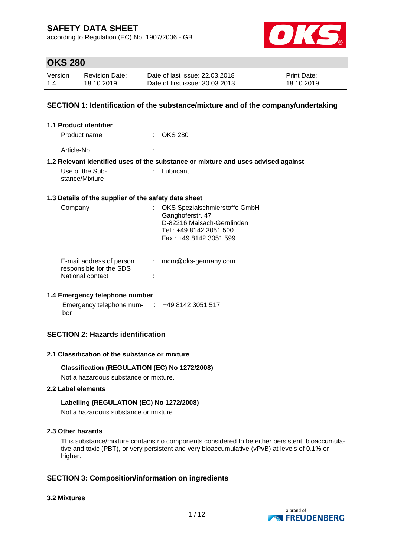according to Regulation (EC) No. 1907/2006 - GB



# **OKS 280**

| Version | <b>Revision Date:</b> | Date of last issue: 22.03.2018  | <b>Print Date:</b> |
|---------|-----------------------|---------------------------------|--------------------|
| 1.4     | 18.10.2019            | Date of first issue: 30.03.2013 | 18.10.2019         |

## **SECTION 1: Identification of the substance/mixture and of the company/undertaking**

| 1.1 Product identifier                                                  |    |                                                                                                                                       |
|-------------------------------------------------------------------------|----|---------------------------------------------------------------------------------------------------------------------------------------|
| Product name                                                            |    | <b>OKS 280</b>                                                                                                                        |
| Article-No.                                                             |    |                                                                                                                                       |
|                                                                         |    | 1.2 Relevant identified uses of the substance or mixture and uses advised against                                                     |
| Use of the Sub-<br>stance/Mixture                                       | t. | Lubricant                                                                                                                             |
| 1.3 Details of the supplier of the safety data sheet                    |    |                                                                                                                                       |
| Company                                                                 |    | OKS Spezialschmierstoffe GmbH<br>Ganghoferstr. 47<br>D-82216 Maisach-Gernlinden<br>Tel.: +49 8142 3051 500<br>Fax.: +49 8142 3051 599 |
| E-mail address of person<br>responsible for the SDS<br>National contact | ÷  | mcm@oks-germany.com                                                                                                                   |

### **1.4 Emergency telephone number**

Emergency telephone num-: +49 8142 3051 517 ber

## **SECTION 2: Hazards identification**

#### **2.1 Classification of the substance or mixture**

### **Classification (REGULATION (EC) No 1272/2008)**

Not a hazardous substance or mixture.

## **2.2 Label elements**

### **Labelling (REGULATION (EC) No 1272/2008)**

Not a hazardous substance or mixture.

## **2.3 Other hazards**

This substance/mixture contains no components considered to be either persistent, bioaccumulative and toxic (PBT), or very persistent and very bioaccumulative (vPvB) at levels of 0.1% or higher.

## **SECTION 3: Composition/information on ingredients**

#### **3.2 Mixtures**

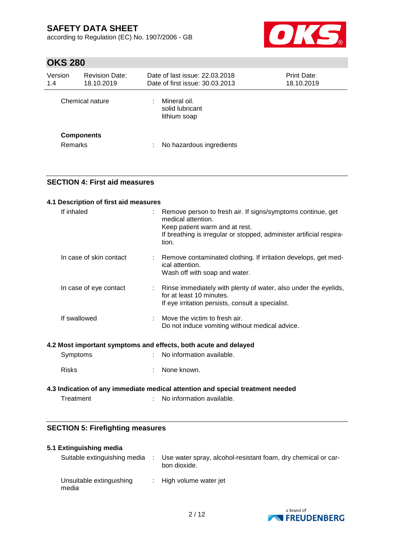according to Regulation (EC) No. 1907/2006 - GB



# **OKS 280**

| Version<br>1.4                      | <b>Revision Date:</b><br>18.10.2019 | Date of last issue: 22.03.2018<br>Date of first issue: 30.03.2013 | Print Date:<br>18.10.2019 |
|-------------------------------------|-------------------------------------|-------------------------------------------------------------------|---------------------------|
|                                     | Chemical nature                     | Mineral oil.<br>solid lubricant<br>lithium soap                   |                           |
| <b>Components</b><br><b>Remarks</b> |                                     | No hazardous ingredients                                          |                           |

## **SECTION 4: First aid measures**

| 4.1 Description of first aid measures |                                                                                                                                                                                                      |
|---------------------------------------|------------------------------------------------------------------------------------------------------------------------------------------------------------------------------------------------------|
| If inhaled                            | Remove person to fresh air. If signs/symptoms continue, get<br>medical attention.<br>Keep patient warm and at rest.<br>If breathing is irregular or stopped, administer artificial respira-<br>tion. |
| In case of skin contact               | Remove contaminated clothing. If irritation develops, get med-<br>ical attention.<br>Wash off with soap and water.                                                                                   |
| In case of eye contact                | Rinse immediately with plenty of water, also under the eyelids,<br>for at least 10 minutes.<br>If eye irritation persists, consult a specialist.                                                     |
| If swallowed                          | Move the victim to fresh air.<br>Do not induce vomiting without medical advice.                                                                                                                      |
|                                       | 4.2 Most important symptoms and effects, both acute and delayed                                                                                                                                      |
| Symptoms                              | No information available.                                                                                                                                                                            |
| <b>Risks</b>                          | None known.                                                                                                                                                                                          |

## **4.3 Indication of any immediate medical attention and special treatment needed** Treatment : No information available.

# **SECTION 5: Firefighting measures**

| 5.1 Extinguishing media           |                                                                               |
|-----------------------------------|-------------------------------------------------------------------------------|
| Suitable extinguishing media      | Use water spray, alcohol-resistant foam, dry chemical or car-<br>bon dioxide. |
| Unsuitable extinguishing<br>media | : High volume water jet                                                       |

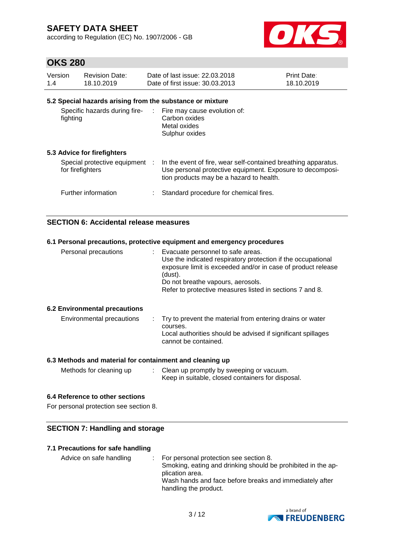according to Regulation (EC) No. 1907/2006 - GB



# **OKS 280**

| Version | <b>Revision Date:</b>                                     | Date of last issue: 22.03.2018  | <b>Print Date:</b> |  |  |  |  |  |
|---------|-----------------------------------------------------------|---------------------------------|--------------------|--|--|--|--|--|
| 1.4     | 18.10.2019                                                | Date of first issue: 30.03.2013 | 18.10.2019         |  |  |  |  |  |
|         | 5.2 Special hazards arising from the substance or mixture |                                 |                    |  |  |  |  |  |

| Specific hazards during fire-<br>fighting          | : Fire may cause evolution of:<br>Carbon oxides<br>Metal oxides<br>Sulphur oxides                                                                                       |
|----------------------------------------------------|-------------------------------------------------------------------------------------------------------------------------------------------------------------------------|
| 5.3 Advice for firefighters                        |                                                                                                                                                                         |
| Special protective equipment :<br>for firefighters | In the event of fire, wear self-contained breathing apparatus.<br>Use personal protective equipment. Exposure to decomposi-<br>tion products may be a hazard to health. |
| Further information                                | Standard procedure for chemical fires.                                                                                                                                  |

## **SECTION 6: Accidental release measures**

| 6.1 Personal precautions, protective equipment and emergency procedures |                                                                                                                                                                                                                                                                                 |  |  |  |  |  |
|-------------------------------------------------------------------------|---------------------------------------------------------------------------------------------------------------------------------------------------------------------------------------------------------------------------------------------------------------------------------|--|--|--|--|--|
| Personal precautions                                                    | : Evacuate personnel to safe areas.<br>Use the indicated respiratory protection if the occupational<br>exposure limit is exceeded and/or in case of product release<br>(dust).<br>Do not breathe vapours, aerosols.<br>Refer to protective measures listed in sections 7 and 8. |  |  |  |  |  |
| <b>6.2 Environmental precautions</b>                                    |                                                                                                                                                                                                                                                                                 |  |  |  |  |  |
| Environmental precautions                                               | Try to prevent the material from entering drains or water<br>courses.<br>Local authorities should be advised if significant spillages<br>cannot be contained.                                                                                                                   |  |  |  |  |  |

### **6.3 Methods and material for containment and cleaning up**

| Methods for cleaning up | Clean up promptly by sweeping or vacuum.          |  |
|-------------------------|---------------------------------------------------|--|
|                         | Keep in suitable, closed containers for disposal. |  |

## **6.4 Reference to other sections**

For personal protection see section 8.

## **SECTION 7: Handling and storage**

## **7.1 Precautions for safe handling**

| Advice on safe handling | $\therefore$ For personal protection see section 8.<br>Smoking, eating and drinking should be prohibited in the ap-<br>plication area. |
|-------------------------|----------------------------------------------------------------------------------------------------------------------------------------|
|                         | Wash hands and face before breaks and immediately after<br>handling the product.                                                       |

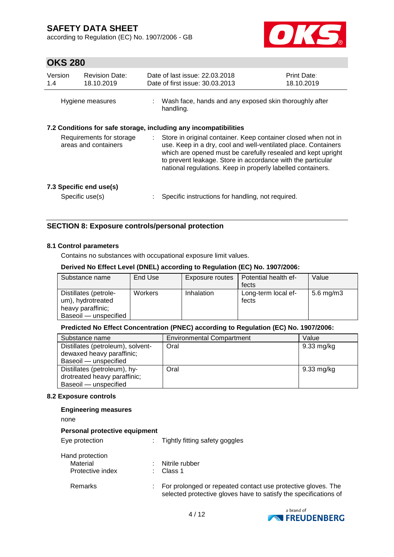according to Regulation (EC) No. 1907/2006 - GB



# **OKS 280**

| Version<br>1.4                                   | <b>Revision Date:</b><br>18.10.2019 |    | Date of last issue: 22.03.2018<br>Date of first issue: 30.03.2013                                                                                                                                                                                                                                                              | <b>Print Date:</b><br>18.10.2019 |
|--------------------------------------------------|-------------------------------------|----|--------------------------------------------------------------------------------------------------------------------------------------------------------------------------------------------------------------------------------------------------------------------------------------------------------------------------------|----------------------------------|
|                                                  | Hygiene measures                    |    | Wash face, hands and any exposed skin thoroughly after<br>handling.                                                                                                                                                                                                                                                            |                                  |
|                                                  |                                     |    | 7.2 Conditions for safe storage, including any incompatibilities                                                                                                                                                                                                                                                               |                                  |
| Requirements for storage<br>areas and containers |                                     | ÷. | Store in original container. Keep container closed when not in<br>use. Keep in a dry, cool and well-ventilated place. Containers<br>which are opened must be carefully resealed and kept upright<br>to prevent leakage. Store in accordance with the particular<br>national regulations. Keep in properly labelled containers. |                                  |
| 7.3 Specific end use(s)                          |                                     |    |                                                                                                                                                                                                                                                                                                                                |                                  |
|                                                  | Specific use(s)                     |    | Specific instructions for handling, not required.                                                                                                                                                                                                                                                                              |                                  |

## **SECTION 8: Exposure controls/personal protection**

#### **8.1 Control parameters**

Contains no substances with occupational exposure limit values.

#### **Derived No Effect Level (DNEL) according to Regulation (EC) No. 1907/2006:**

| Substance name                                                                           | End Use | Exposure routes | Potential health ef-<br>fects | Value        |
|------------------------------------------------------------------------------------------|---------|-----------------|-------------------------------|--------------|
| Distillates (petrole-<br>um), hydrotreated<br>heavy paraffinic;<br>Baseoil - unspecified | Workers | Inhalation      | Long-term local ef-<br>fects  | 5.6 mg/m $3$ |

### **Predicted No Effect Concentration (PNEC) according to Regulation (EC) No. 1907/2006:**

| Substance name                    | <b>Environmental Compartment</b> | Value      |
|-----------------------------------|----------------------------------|------------|
| Distillates (petroleum), solvent- | Oral                             | 9.33 mg/kg |
| dewaxed heavy paraffinic;         |                                  |            |
| Baseoil - unspecified             |                                  |            |
| Distillates (petroleum), hy-      | Oral                             | 9.33 mg/kg |
| drotreated heavy paraffinic;      |                                  |            |
| Baseoil - unspecified             |                                  |            |

#### **8.2 Exposure controls**

#### **Engineering measures**

none

#### **Personal protective equipment**

| Eye protection   | Tightly fitting safety goggles                                                                                                   |  |  |
|------------------|----------------------------------------------------------------------------------------------------------------------------------|--|--|
| Hand protection  |                                                                                                                                  |  |  |
| Material         | Nitrile rubber                                                                                                                   |  |  |
| Protective index | Class 1                                                                                                                          |  |  |
| Remarks          | For prolonged or repeated contact use protective gloves. The<br>selected protective gloves have to satisfy the specifications of |  |  |

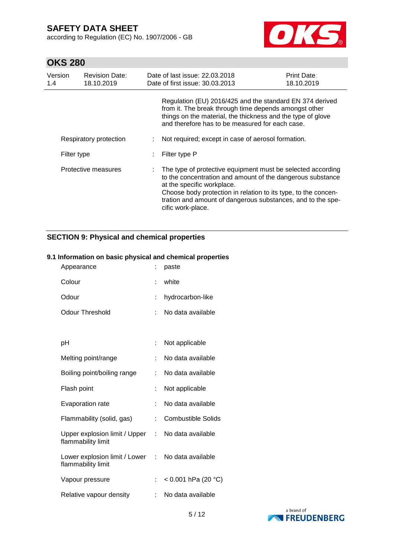according to Regulation (EC) No. 1907/2006 - GB



# **OKS 280**

| Version<br>1.4      | <b>Revision Date:</b><br>18.10.2019 | Date of last issue: 22.03.2018<br>Date of first issue: 30.03.2013                                                                                                                                                                                                                                             | <b>Print Date:</b><br>18.10.2019 |  |
|---------------------|-------------------------------------|---------------------------------------------------------------------------------------------------------------------------------------------------------------------------------------------------------------------------------------------------------------------------------------------------------------|----------------------------------|--|
|                     |                                     | Regulation (EU) 2016/425 and the standard EN 374 derived<br>from it. The break through time depends amongst other<br>things on the material, the thickness and the type of glove<br>and therefore has to be measured for each case.                                                                           |                                  |  |
|                     | Respiratory protection              | Not required; except in case of aerosol formation.                                                                                                                                                                                                                                                            |                                  |  |
| Filter type         |                                     | Filter type P                                                                                                                                                                                                                                                                                                 |                                  |  |
| Protective measures |                                     | The type of protective equipment must be selected according<br>to the concentration and amount of the dangerous substance<br>at the specific workplace.<br>Choose body protection in relation to its type, to the concen-<br>tration and amount of dangerous substances, and to the spe-<br>cific work-place. |                                  |  |

# **SECTION 9: Physical and chemical properties**

## **9.1 Information on basic physical and chemical properties**

| Appearance                                            |    | paste                     |
|-------------------------------------------------------|----|---------------------------|
| Colour                                                | ۰  | white                     |
| Odour                                                 | t  | hydrocarbon-like          |
| Odour Threshold                                       | t  | No data available         |
|                                                       |    |                           |
| рH                                                    |    | Not applicable            |
| Melting point/range                                   | t  | No data available         |
| Boiling point/boiling range                           | ÷. | No data available         |
| Flash point                                           |    | Not applicable            |
| <b>Evaporation rate</b>                               |    | No data available         |
| Flammability (solid, gas)                             | t  | <b>Combustible Solids</b> |
| Upper explosion limit / Upper<br>flammability limit   | t. | No data available         |
| Lower explosion limit / Lower :<br>flammability limit |    | No data available         |
| Vapour pressure                                       |    | < 0.001 hPa (20 °C)       |
| Relative vapour density                               |    | No data available         |

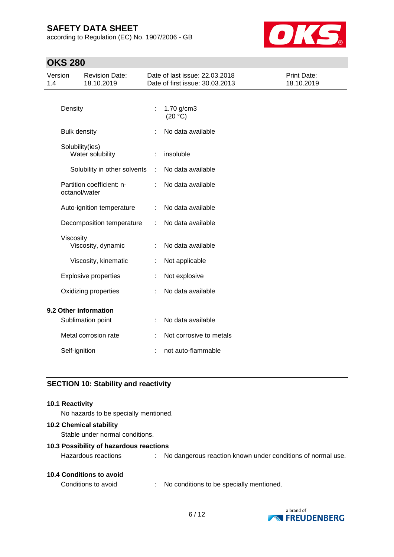according to Regulation (EC) No. 1907/2006 - GB



# **OKS 280**

| Version<br>1.4       |                 | <b>Revision Date:</b><br>18.10.2019 |                   | Date of last issue: 22.03.2018<br>Date of first issue: 30.03.2013 | Print Date:<br>18.10.2019 |
|----------------------|-----------------|-------------------------------------|-------------------|-------------------------------------------------------------------|---------------------------|
|                      | Density         |                                     | ÷                 | 1.70 g/cm3<br>(20 °C)                                             |                           |
| <b>Bulk density</b>  |                 |                                     | No data available |                                                                   |                           |
|                      | Solubility(ies) | Water solubility                    |                   | insoluble                                                         |                           |
|                      |                 | Solubility in other solvents        | ÷                 | No data available                                                 |                           |
|                      | octanol/water   | Partition coefficient: n-           |                   | No data available                                                 |                           |
|                      |                 | Auto-ignition temperature           | ÷                 | No data available                                                 |                           |
|                      |                 | Decomposition temperature           | ÷                 | No data available                                                 |                           |
|                      | Viscosity       | Viscosity, dynamic                  | ÷                 | No data available                                                 |                           |
|                      |                 | Viscosity, kinematic                | ÷                 | Not applicable                                                    |                           |
|                      |                 | <b>Explosive properties</b>         |                   | Not explosive                                                     |                           |
| Oxidizing properties |                 | ÷                                   | No data available |                                                                   |                           |
|                      |                 | 9.2 Other information               |                   |                                                                   |                           |
|                      |                 | Sublimation point                   |                   | No data available                                                 |                           |
|                      |                 | Metal corrosion rate                |                   | Not corrosive to metals                                           |                           |
|                      | Self-ignition   |                                     |                   | not auto-flammable                                                |                           |
|                      |                 |                                     |                   |                                                                   |                           |

# **SECTION 10: Stability and reactivity**

#### **10.1 Reactivity**

No hazards to be specially mentioned.

#### **10.2 Chemical stability**

Stable under normal conditions.

### **10.3 Possibility of hazardous reactions**

|  |  | <b>10.4 Conditions to avoid</b> |  |  |
|--|--|---------------------------------|--|--|
|--|--|---------------------------------|--|--|

Conditions to avoid : No conditions to be specially mentioned.



Hazardous reactions : No dangerous reaction known under conditions of normal use.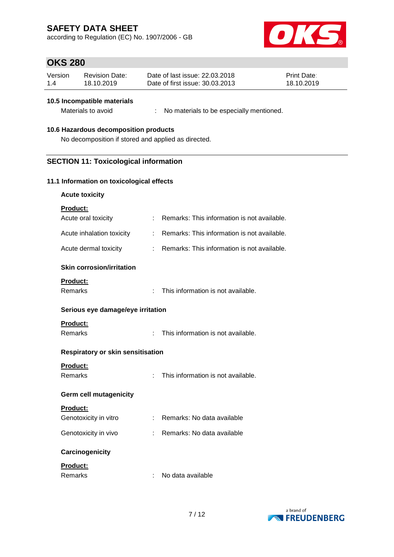according to Regulation (EC) No. 1907/2006 - GB



# **OKS 280**

| Version | <b>Revision Date:</b> | Date of last issue: 22,03,2018  | <b>Print Date:</b> |
|---------|-----------------------|---------------------------------|--------------------|
| 1.4     | 18.10.2019            | Date of first issue: 30.03.2013 | 18.10.2019         |

### **10.5 Incompatible materials**

Materials to avoid : No materials to be especially mentioned.

#### **10.6 Hazardous decomposition products**

No decomposition if stored and applied as directed.

## **SECTION 11: Toxicological information**

#### **11.1 Information on toxicological effects**

| <b>Product:</b>                  |                                           |                                             |
|----------------------------------|-------------------------------------------|---------------------------------------------|
| Acute oral toxicity              | $\mathcal{F}^{\mathcal{A}}_{\mathcal{A}}$ | Remarks: This information is not available. |
| Acute inhalation toxicity        |                                           | Remarks: This information is not available. |
| Acute dermal toxicity            |                                           | Remarks: This information is not available. |
| <b>Skin corrosion/irritation</b> |                                           |                                             |
| <b>Product:</b><br>Remarks       | ۰                                         | This information is not available.          |

#### **Serious eye damage/eye irritation**

### **Product:**

Remarks : This information is not available.

## **Respiratory or skin sensitisation**

## **Product:**

Remarks : This information is not available.

## **Germ cell mutagenicity**

| <b>Product:</b> |  |
|-----------------|--|
|                 |  |

| Genotoxicity in vitro | : Remarks: No data available |
|-----------------------|------------------------------|
| Genotoxicity in vivo  | : Remarks: No data available |

### **Carcinogenicity**

### **Product:**

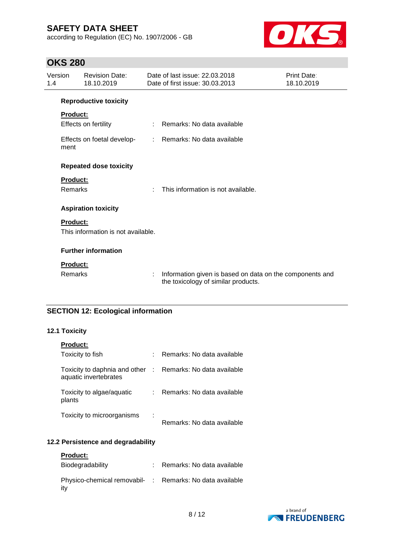according to Regulation (EC) No. 1907/2006 - GB



# **OKS 280**

| Version<br>1.4 |                 | <b>Revision Date:</b><br>18.10.2019 |    | Date of last issue: 22.03.2018<br>Date of first issue: 30.03.2013                               | Print Date:<br>18.10.2019 |
|----------------|-----------------|-------------------------------------|----|-------------------------------------------------------------------------------------------------|---------------------------|
|                |                 | <b>Reproductive toxicity</b>        |    |                                                                                                 |                           |
|                | <b>Product:</b> |                                     |    |                                                                                                 |                           |
|                |                 | Effects on fertility                | ÷. | Remarks: No data available                                                                      |                           |
|                | ment            | Effects on foetal develop-          | ÷. | Remarks: No data available                                                                      |                           |
|                |                 | <b>Repeated dose toxicity</b>       |    |                                                                                                 |                           |
|                | <b>Product:</b> |                                     |    |                                                                                                 |                           |
|                | Remarks         |                                     | ÷  | This information is not available.                                                              |                           |
|                |                 | <b>Aspiration toxicity</b>          |    |                                                                                                 |                           |
|                | <b>Product:</b> |                                     |    |                                                                                                 |                           |
|                |                 | This information is not available.  |    |                                                                                                 |                           |
|                |                 | <b>Further information</b>          |    |                                                                                                 |                           |
|                | <b>Product:</b> |                                     |    |                                                                                                 |                           |
|                | Remarks         |                                     | ÷. | Information given is based on data on the components and<br>the toxicology of similar products. |                           |

# **SECTION 12: Ecological information**

## **12.1 Toxicity**

| <b>Product:</b>                                          |                            |
|----------------------------------------------------------|----------------------------|
| Toxicity to fish                                         | Remarks: No data available |
| Toxicity to daphnia and other :<br>aquatic invertebrates | Remarks: No data available |
| Toxicity to algae/aquatic<br>plants                      | Remarks: No data available |
| Toxicity to microorganisms                               | Remarks: No data available |

## **12.2 Persistence and degradability**

| <b>Product:</b>                                                 |                            |
|-----------------------------------------------------------------|----------------------------|
| Biodegradability                                                | Remarks: No data available |
| Physico-chemical removabil- : Remarks: No data available<br>itv |                            |

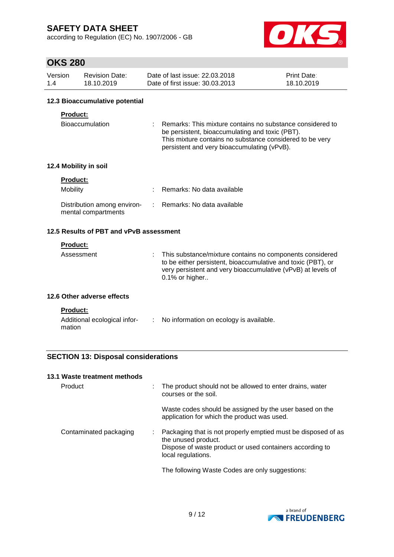according to Regulation (EC) No. 1907/2006 - GB



# **OKS 280**

| Version | Revision Date: | Date of last issue: 22.03.2018  | <b>Print Date:</b> |
|---------|----------------|---------------------------------|--------------------|
| 1.4     | 18.10.2019     | Date of first issue: 30.03.2013 | 18.10.2019         |

### **12.3 Bioaccumulative potential**

### **Product:**

| <b>Bioaccumulation</b> | : Remarks: This mixture contains no substance considered to |
|------------------------|-------------------------------------------------------------|
|                        | be persistent, bioaccumulating and toxic (PBT).             |
|                        | This mixture contains no substance considered to be very    |
|                        | persistent and very bioaccumulating (vPvB).                 |

## **12.4 Mobility in soil**

| <b>Product:</b>                                    |                              |
|----------------------------------------------------|------------------------------|
| Mobility                                           | : Remarks: No data available |
| Distribution among environ-<br>mental compartments | : Remarks: No data available |

## **12.5 Results of PBT and vPvB assessment**

## **Product:**

| $0.1\%$ or higher | Assessment |  | : This substance/mixture contains no components considered<br>to be either persistent, bioaccumulative and toxic (PBT), or<br>very persistent and very bioaccumulative (vPvB) at levels of |
|-------------------|------------|--|--------------------------------------------------------------------------------------------------------------------------------------------------------------------------------------------|
|-------------------|------------|--|--------------------------------------------------------------------------------------------------------------------------------------------------------------------------------------------|

### **12.6 Other adverse effects**

| du<br>ĸ |
|---------|

| Additional ecological infor- | No information on ecology is available. |
|------------------------------|-----------------------------------------|
| mation                       |                                         |

## **SECTION 13: Disposal considerations**

#### **13.1 Waste treatment methods**

| Product                | The product should not be allowed to enter drains, water<br>courses or the soil.                                                                                       |
|------------------------|------------------------------------------------------------------------------------------------------------------------------------------------------------------------|
|                        | Waste codes should be assigned by the user based on the<br>application for which the product was used.                                                                 |
| Contaminated packaging | Packaging that is not properly emptied must be disposed of as<br>the unused product.<br>Dispose of waste product or used containers according to<br>local regulations. |
|                        | The following Waste Codes are only suggestions:                                                                                                                        |

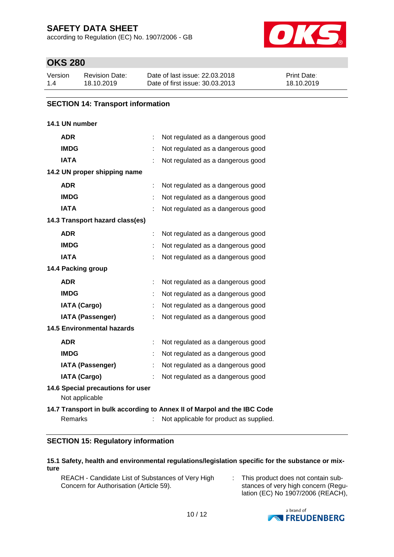according to Regulation (EC) No. 1907/2006 - GB



# **OKS 280**

| Version | Revision Date: | Date of last issue: 22.03.2018  | <b>Print Date:</b> |
|---------|----------------|---------------------------------|--------------------|
| 1.4     | 18.10.2019     | Date of first issue: 30.03.2013 | 18.10.2019         |

## **SECTION 14: Transport information**

## **14.1 UN number**

| <b>ADR</b>                                          |   | Not regulated as a dangerous good                                                                                  |  |  |  |  |
|-----------------------------------------------------|---|--------------------------------------------------------------------------------------------------------------------|--|--|--|--|
| <b>IMDG</b>                                         |   | Not regulated as a dangerous good                                                                                  |  |  |  |  |
| <b>IATA</b>                                         |   | Not regulated as a dangerous good                                                                                  |  |  |  |  |
| 14.2 UN proper shipping name                        |   |                                                                                                                    |  |  |  |  |
| <b>ADR</b>                                          |   | Not regulated as a dangerous good                                                                                  |  |  |  |  |
| <b>IMDG</b>                                         |   | Not regulated as a dangerous good                                                                                  |  |  |  |  |
| <b>IATA</b>                                         |   | Not regulated as a dangerous good                                                                                  |  |  |  |  |
| 14.3 Transport hazard class(es)                     |   |                                                                                                                    |  |  |  |  |
| <b>ADR</b>                                          |   | Not regulated as a dangerous good                                                                                  |  |  |  |  |
| <b>IMDG</b>                                         |   | Not regulated as a dangerous good                                                                                  |  |  |  |  |
| <b>IATA</b>                                         |   | Not regulated as a dangerous good                                                                                  |  |  |  |  |
| 14.4 Packing group                                  |   |                                                                                                                    |  |  |  |  |
| <b>ADR</b>                                          | ÷ | Not regulated as a dangerous good                                                                                  |  |  |  |  |
| <b>IMDG</b>                                         |   | Not regulated as a dangerous good                                                                                  |  |  |  |  |
| <b>IATA (Cargo)</b>                                 |   | Not regulated as a dangerous good                                                                                  |  |  |  |  |
| <b>IATA (Passenger)</b>                             |   | Not regulated as a dangerous good                                                                                  |  |  |  |  |
| <b>14.5 Environmental hazards</b>                   |   |                                                                                                                    |  |  |  |  |
| <b>ADR</b>                                          |   | Not regulated as a dangerous good                                                                                  |  |  |  |  |
| <b>IMDG</b>                                         |   | Not regulated as a dangerous good                                                                                  |  |  |  |  |
| <b>IATA (Passenger)</b>                             |   | Not regulated as a dangerous good                                                                                  |  |  |  |  |
| <b>IATA (Cargo)</b>                                 |   | Not regulated as a dangerous good                                                                                  |  |  |  |  |
| 14.6 Special precautions for user<br>Not applicable |   |                                                                                                                    |  |  |  |  |
| Remarks                                             |   | 14.7 Transport in bulk according to Annex II of Marpol and the IBC Code<br>Not applicable for product as supplied. |  |  |  |  |

## **SECTION 15: Regulatory information**

### **15.1 Safety, health and environmental regulations/legislation specific for the substance or mixture**

REACH - Candidate List of Substances of Very High Concern for Authorisation (Article 59).

: This product does not contain substances of very high concern (Regulation (EC) No 1907/2006 (REACH),

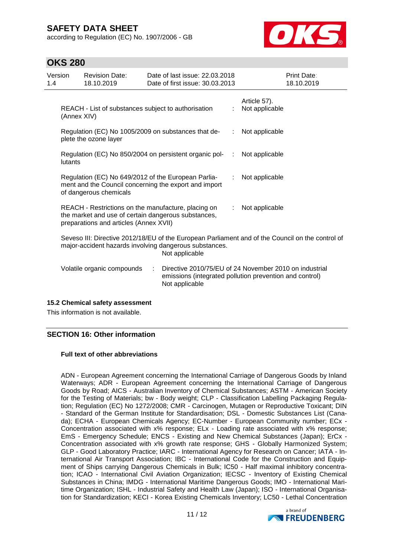according to Regulation (EC) No. 1907/2006 - GB



# **OKS 280**

| Version<br>1.4 |                                                                                                                                                                              | <b>Revision Date:</b><br>18.10.2019                                                                                                                  |   | Date of last issue: 22.03.2018<br>Date of first issue: 30.03.2013 |                | Print Date:<br>18.10.2019                                                                                         |
|----------------|------------------------------------------------------------------------------------------------------------------------------------------------------------------------------|------------------------------------------------------------------------------------------------------------------------------------------------------|---|-------------------------------------------------------------------|----------------|-------------------------------------------------------------------------------------------------------------------|
|                | (Annex XIV)                                                                                                                                                                  | REACH - List of substances subject to authorisation                                                                                                  |   |                                                                   |                | Article 57).<br>Not applicable                                                                                    |
|                | Regulation (EC) No 1005/2009 on substances that de-<br>plete the ozone layer                                                                                                 |                                                                                                                                                      |   | ÷                                                                 | Not applicable |                                                                                                                   |
|                | lutants                                                                                                                                                                      |                                                                                                                                                      |   | Regulation (EC) No 850/2004 on persistent organic pol-            | ÷              | Not applicable                                                                                                    |
|                | Regulation (EC) No 649/2012 of the European Parlia-<br>ment and the Council concerning the export and import<br>of dangerous chemicals                                       |                                                                                                                                                      |   |                                                                   | ÷.             | Not applicable                                                                                                    |
|                |                                                                                                                                                                              | REACH - Restrictions on the manufacture, placing on<br>the market and use of certain dangerous substances,<br>preparations and articles (Annex XVII) |   |                                                                   | ÷.             | Not applicable                                                                                                    |
|                | Seveso III: Directive 2012/18/EU of the European Parliament and of the Council on the control of<br>major-accident hazards involving dangerous substances.<br>Not applicable |                                                                                                                                                      |   |                                                                   |                |                                                                                                                   |
|                |                                                                                                                                                                              | Volatile organic compounds                                                                                                                           | ÷ | Not applicable                                                    |                | Directive 2010/75/EU of 24 November 2010 on industrial<br>emissions (integrated pollution prevention and control) |

### **15.2 Chemical safety assessment**

This information is not available.

### **SECTION 16: Other information**

### **Full text of other abbreviations**

ADN - European Agreement concerning the International Carriage of Dangerous Goods by Inland Waterways; ADR - European Agreement concerning the International Carriage of Dangerous Goods by Road; AICS - Australian Inventory of Chemical Substances; ASTM - American Society for the Testing of Materials; bw - Body weight; CLP - Classification Labelling Packaging Regulation; Regulation (EC) No 1272/2008; CMR - Carcinogen, Mutagen or Reproductive Toxicant; DIN - Standard of the German Institute for Standardisation; DSL - Domestic Substances List (Canada); ECHA - European Chemicals Agency; EC-Number - European Community number; ECx - Concentration associated with x% response; ELx - Loading rate associated with x% response; EmS - Emergency Schedule; ENCS - Existing and New Chemical Substances (Japan); ErCx - Concentration associated with x% growth rate response; GHS - Globally Harmonized System; GLP - Good Laboratory Practice; IARC - International Agency for Research on Cancer; IATA - International Air Transport Association; IBC - International Code for the Construction and Equipment of Ships carrying Dangerous Chemicals in Bulk; IC50 - Half maximal inhibitory concentration; ICAO - International Civil Aviation Organization; IECSC - Inventory of Existing Chemical Substances in China; IMDG - International Maritime Dangerous Goods; IMO - International Maritime Organization; ISHL - Industrial Safety and Health Law (Japan); ISO - International Organisation for Standardization; KECI - Korea Existing Chemicals Inventory; LC50 - Lethal Concentration